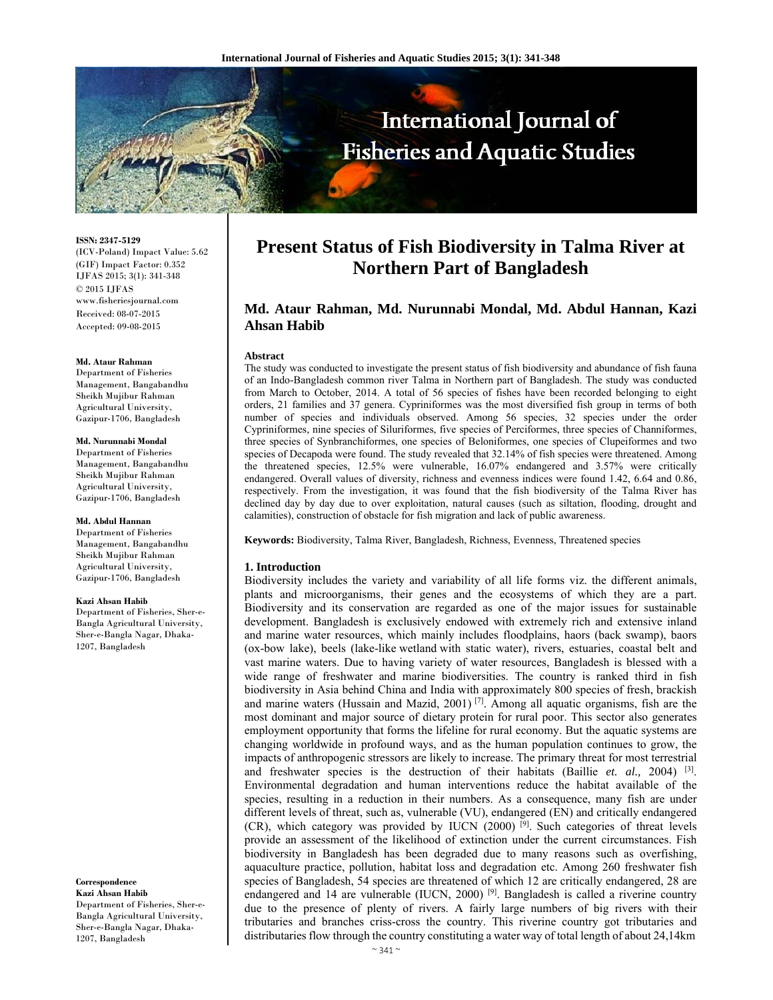

**ISSN: 2347-5129** 

(ICV-Poland) Impact Value: 5.62 (GIF) Impact Factor: 0.352 IJFAS 2015; 3(1): 341-348  $\odot$  2015 IJFAS www.fisheriesjournal.com Received: 08-07-2015 Accepted: 09-08-2015

#### **Md. Ataur Rahman**

Department of Fisheries Management, Bangabandhu Sheikh Mujibur Rahman Agricultural University, Gazipur-1706, Bangladesh

#### **Md. Nurunnabi Mondal**

Department of Fisheries Management, Bangabandhu Sheikh Mujibur Rahman Agricultural University, Gazipur-1706, Bangladesh

## **Md. Abdul Hannan**

Department of Fisheries Management, Bangabandhu Sheikh Mujibur Rahman Agricultural University, Gazipur-1706, Bangladesh

#### **Kazi Ahsan Habib**

Department of Fisheries, Sher-e-Bangla Agricultural University, Sher-e-Bangla Nagar, Dhaka-1207, Bangladesh

**Correspondence Kazi Ahsan Habib** 

Department of Fisheries, Sher-e-Bangla Agricultural University, Sher-e-Bangla Nagar, Dhaka-1207, Bangladesh

# **Present Status of Fish Biodiversity in Talma River at Northern Part of Bangladesh**

# **Md. Ataur Rahman, Md. Nurunnabi Mondal, Md. Abdul Hannan, Kazi Ahsan Habib**

#### **Abstract**

The study was conducted to investigate the present status of fish biodiversity and abundance of fish fauna of an Indo-Bangladesh common river Talma in Northern part of Bangladesh. The study was conducted from March to October, 2014. A total of 56 species of fishes have been recorded belonging to eight orders, 21 families and 37 genera. Cypriniformes was the most diversified fish group in terms of both number of species and individuals observed. Among 56 species, 32 species under the order Cypriniformes, nine species of Siluriformes, five species of Perciformes, three species of Channiformes, three species of Synbranchiformes, one species of Beloniformes, one species of Clupeiformes and two species of Decapoda were found. The study revealed that 32.14% of fish species were threatened. Among the threatened species, 12.5% were vulnerable, 16.07% endangered and 3.57% were critically endangered. Overall values of diversity, richness and evenness indices were found 1.42, 6.64 and 0.86, respectively. From the investigation, it was found that the fish biodiversity of the Talma River has declined day by day due to over exploitation, natural causes (such as siltation, flooding, drought and calamities), construction of obstacle for fish migration and lack of public awareness.

**Keywords:** Biodiversity, Talma River, Bangladesh, Richness, Evenness, Threatened species

#### **1. Introduction**

Biodiversity includes the variety and variability of all life forms viz. the different animals, plants and microorganisms, their genes and the ecosystems of which they are a part. Biodiversity and its conservation are regarded as one of the major issues for sustainable development. Bangladesh is exclusively endowed with extremely rich and extensive inland and marine water resources, which mainly includes floodplains, haors (back swamp), baors (ox-bow lake), beels (lake-like wetland with static water), rivers, estuaries, coastal belt and vast marine waters. Due to having variety of water resources, Bangladesh is blessed with a wide range of freshwater and marine biodiversities. The country is ranked third in fish biodiversity in Asia behind China and India with approximately 800 species of fresh, brackish and marine waters (Hussain and Mazid, 2001) <sup>[7]</sup>. Among all aquatic organisms, fish are the most dominant and major source of dietary protein for rural poor. This sector also generates employment opportunity that forms the lifeline for rural economy. But the aquatic systems are changing worldwide in profound ways, and as the human population continues to grow, the impacts of anthropogenic stressors are likely to increase. The primary threat for most terrestrial and freshwater species is the destruction of their habitats (Baillie *et. al.,* 2004) [3]. Environmental degradation and human interventions reduce the habitat available of the species, resulting in a reduction in their numbers. As a consequence, many fish are under different levels of threat, such as, vulnerable (VU), endangered (EN) and critically endangered  $(CR)$ , which category was provided by IUCN (2000) [9]. Such categories of threat levels provide an assessment of the likelihood of extinction under the current circumstances. Fish biodiversity in Bangladesh has been degraded due to many reasons such as overfishing, aquaculture practice, pollution, habitat loss and degradation etc. Among 260 freshwater fish species of Bangladesh, 54 species are threatened of which 12 are critically endangered, 28 are endangered and 14 are vulnerable (IUCN, 2000)<sup>[9]</sup>. Bangladesh is called a riverine country due to the presence of plenty of rivers. A fairly large numbers of big rivers with their tributaries and branches criss-cross the country. This riverine country got tributaries and distributaries flow through the country constituting a water way of total length of about 24,14km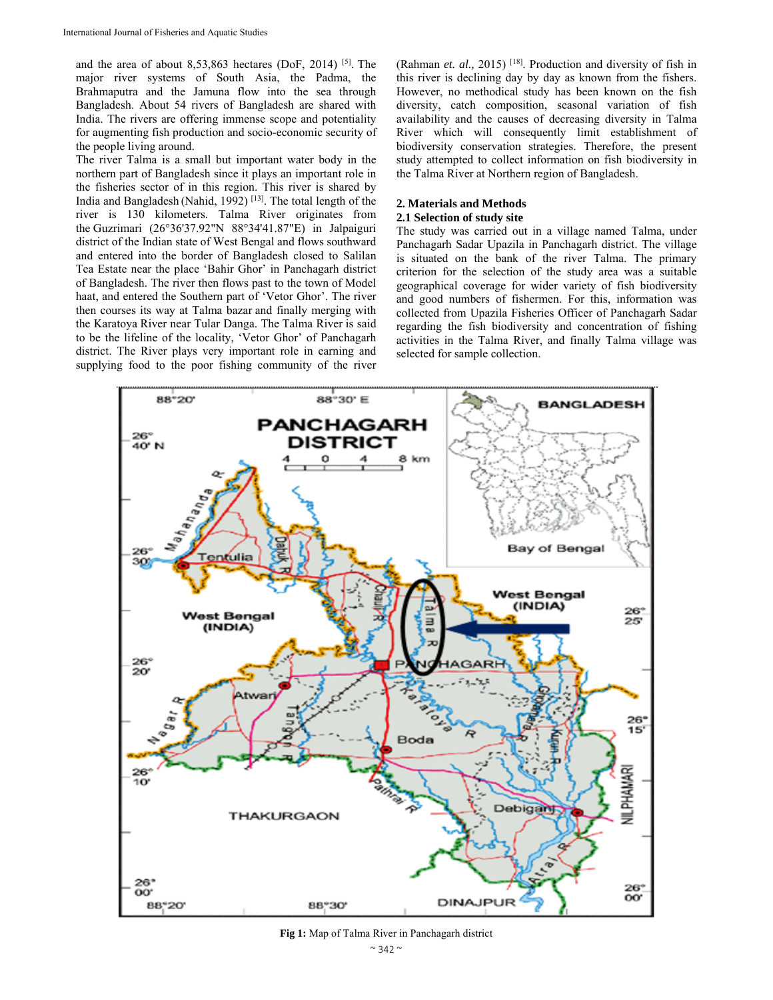and the area of about  $8,53,863$  hectares (DoF, 2014) [5]. The major river systems of South Asia, the Padma, the Brahmaputra and the Jamuna flow into the sea through Bangladesh. About 54 rivers of Bangladesh are shared with India. The rivers are offering immense scope and potentiality for augmenting fish production and socio-economic security of the people living around.

The river Talma is a small but important water body in the northern part of Bangladesh since it plays an important role in the fisheries sector of in this region. This river is shared by India and Bangladesh (Nahid, 1992) [13]. The total length of the river is 130 kilometers. Talma River originates from the Guzrimari (26°36'37.92"N 88°34'41.87"E) in Jalpaiguri district of the Indian state of West Bengal and flows southward and entered into the border of Bangladesh closed to Salilan Tea Estate near the place 'Bahir Ghor' in Panchagarh district of Bangladesh. The river then flows past to the town of Model haat, and entered the Southern part of 'Vetor Ghor'. The river then courses its way at Talma bazar and finally merging with the Karatoya River near Tular Danga. The Talma River is said to be the lifeline of the locality, 'Vetor Ghor' of Panchagarh district. The River plays very important role in earning and supplying food to the poor fishing community of the river

(Rahman *et. al.,* 2015) [18]. Production and diversity of fish in this river is declining day by day as known from the fishers. However, no methodical study has been known on the fish diversity, catch composition, seasonal variation of fish availability and the causes of decreasing diversity in Talma River which will consequently limit establishment of biodiversity conservation strategies. Therefore, the present study attempted to collect information on fish biodiversity in the Talma River at Northern region of Bangladesh.

## **2. Materials and Methods**

#### **2.1 Selection of study site**

The study was carried out in a village named Talma, under Panchagarh Sadar Upazila in Panchagarh district. The village is situated on the bank of the river Talma. The primary criterion for the selection of the study area was a suitable geographical coverage for wider variety of fish biodiversity and good numbers of fishermen. For this, information was collected from Upazila Fisheries Officer of Panchagarh Sadar regarding the fish biodiversity and concentration of fishing activities in the Talma River, and finally Talma village was selected for sample collection.



**Fig 1:** Map of Talma River in Panchagarh district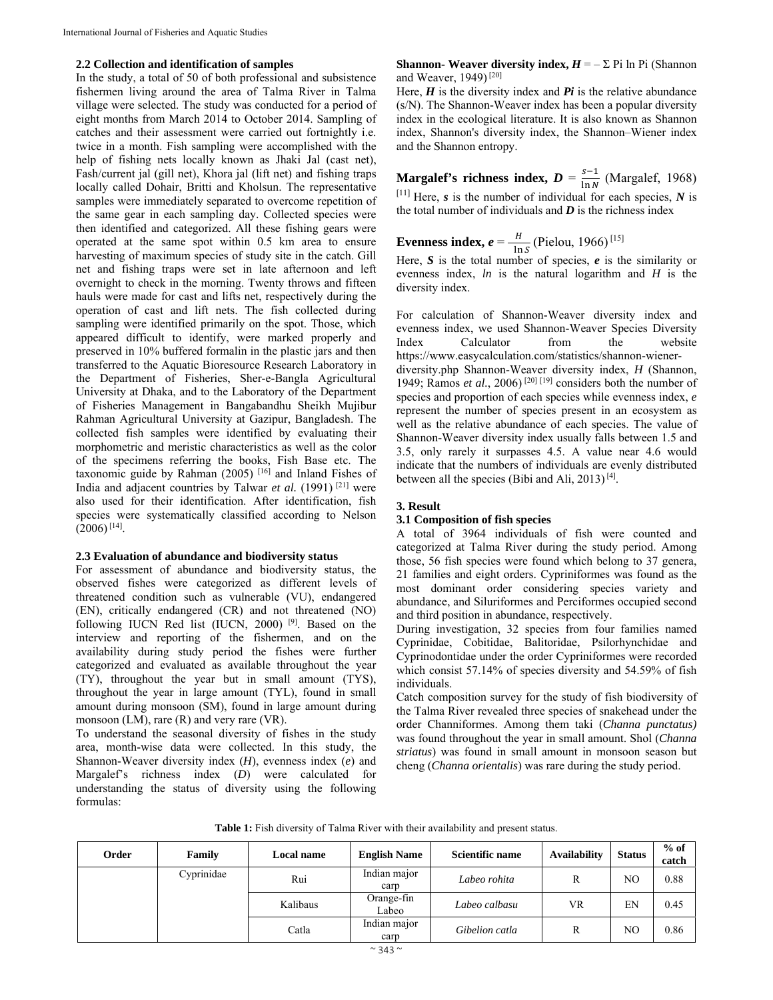## **2.2 Collection and identification of samples**

In the study, a total of 50 of both professional and subsistence fishermen living around the area of Talma River in Talma village were selected. The study was conducted for a period of eight months from March 2014 to October 2014. Sampling of catches and their assessment were carried out fortnightly i.e. twice in a month. Fish sampling were accomplished with the help of fishing nets locally known as Jhaki Jal (cast net), Fash/current jal (gill net), Khora jal (lift net) and fishing traps locally called Dohair, Britti and Kholsun. The representative samples were immediately separated to overcome repetition of the same gear in each sampling day. Collected species were then identified and categorized. All these fishing gears were operated at the same spot within 0.5 km area to ensure harvesting of maximum species of study site in the catch. Gill net and fishing traps were set in late afternoon and left overnight to check in the morning. Twenty throws and fifteen hauls were made for cast and lifts net, respectively during the operation of cast and lift nets. The fish collected during sampling were identified primarily on the spot. Those, which appeared difficult to identify, were marked properly and preserved in 10% buffered formalin in the plastic jars and then transferred to the Aquatic Bioresource Research Laboratory in the Department of Fisheries, Sher-e-Bangla Agricultural University at Dhaka, and to the Laboratory of the Department of Fisheries Management in Bangabandhu Sheikh Mujibur Rahman Agricultural University at Gazipur, Bangladesh. The collected fish samples were identified by evaluating their morphometric and meristic characteristics as well as the color of the specimens referring the books, Fish Base etc. The taxonomic guide by Rahman (2005) [16] and Inland Fishes of India and adjacent countries by Talwar *et al.* (1991) [21] were also used for their identification. After identification, fish species were systematically classified according to Nelson  $(2006)^{[14]}$ .

## **2.3 Evaluation of abundance and biodiversity status**

For assessment of abundance and biodiversity status, the observed fishes were categorized as different levels of threatened condition such as vulnerable (VU), endangered (EN), critically endangered (CR) and not threatened (NO) following IUCN Red list (IUCN, 2000) [9]. Based on the interview and reporting of the fishermen, and on the availability during study period the fishes were further categorized and evaluated as available throughout the year (TY), throughout the year but in small amount (TYS), throughout the year in large amount (TYL), found in small amount during monsoon (SM), found in large amount during monsoon (LM), rare (R) and very rare (VR).

To understand the seasonal diversity of fishes in the study area, month-wise data were collected. In this study, the Shannon-Weaver diversity index (*H*), evenness index (*e*) and Margalef's richness index (*D*) were calculated for understanding the status of diversity using the following formulas:

**Shannon- Weaver diversity index,**  $H = -\sum_i P_i$  **ln Pi (Shannon)** and Weaver, 1949)<sup>[20]</sup>

Here,  $H$  is the diversity index and  $Pi$  is the relative abundance (s/N). The Shannon-Weaver index has been a popular diversity index in the ecological literature. It is also known as Shannon index, Shannon's diversity index, the Shannon–Wiener index and the Shannon entropy.

**Margalef's richness index,** 
$$
D = \frac{s-1}{\ln N}
$$
 (Margalef, 1968)

 $[11]$  Here, *s* is the number of individual for each species, *N* is the total number of individuals and  $\boldsymbol{D}$  is the richness index

**Evenness index,** 
$$
e = \frac{H}{\ln s}
$$
 (Pielou, 1966)<sup>[15]</sup>

Here, *S* is the total number of species, *e* is the similarity or evenness index, *ln* is the natural logarithm and *H* is the diversity index.

For calculation of Shannon-Weaver diversity index and evenness index, we used Shannon-Weaver Species Diversity Index Calculator from the website https://www.easycalculation.com/statistics/shannon-wienerdiversity.php Shannon-Weaver diversity index, *H* (Shannon, 1949; Ramos *et al.*, 2006)<sup>[20] [19]</sup> considers both the number of

species and proportion of each species while evenness index, *e* represent the number of species present in an ecosystem as well as the relative abundance of each species. The value of Shannon-Weaver diversity index usually falls between 1.5 and 3.5, only rarely it surpasses 4.5. A value near 4.6 would indicate that the numbers of individuals are evenly distributed between all the species (Bibi and Ali, 2013)<sup>[4]</sup>.

# **3. Result**

# **3.1 Composition of fish species**

A total of 3964 individuals of fish were counted and categorized at Talma River during the study period. Among those, 56 fish species were found which belong to 37 genera, 21 families and eight orders. Cypriniformes was found as the most dominant order considering species variety and abundance, and Siluriformes and Perciformes occupied second and third position in abundance, respectively.

During investigation, 32 species from four families named Cyprinidae, Cobitidae, Balitoridae, Psilorhynchidae and Cyprinodontidae under the order Cypriniformes were recorded which consist 57.14% of species diversity and 54.59% of fish individuals.

Catch composition survey for the study of fish biodiversity of the Talma River revealed three species of snakehead under the order Channiformes. Among them taki (*Channa punctatus)*  was found throughout the year in small amount. Shol (*Channa striatus*) was found in small amount in monsoon season but cheng (*Channa orientalis*) was rare during the study period.

**Table 1:** Fish diversity of Talma River with their availability and present status.

| Order | Family     | Local name | <b>English Name</b>  | Scientific name | <b>Availability</b> | <b>Status</b> | $%$ of<br>catch |
|-------|------------|------------|----------------------|-----------------|---------------------|---------------|-----------------|
|       | Cyprinidae | Rui        | Indian major<br>carp | Labeo rohita    | R                   | NO            | 0.88            |
|       |            | Kalibaus   | Orange-fin<br>Labeo  | Labeo calbasu   | VR                  | EN            | 0.45            |
|       |            | Catla      | Indian major<br>carp | Gibelion catla  | R                   | NO            | 0.86            |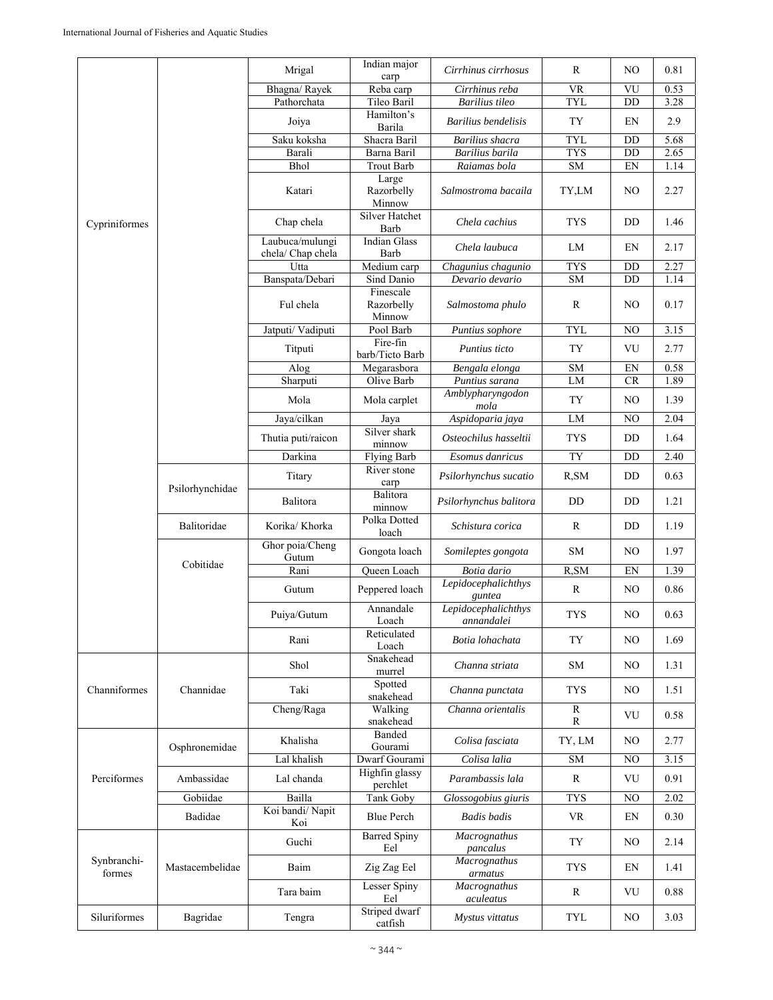|                       |                 | Mrigal                               | Indian major<br>carp              | Cirrhinus cirrhosus               | R              | NO                         | 0.81 |
|-----------------------|-----------------|--------------------------------------|-----------------------------------|-----------------------------------|----------------|----------------------------|------|
|                       |                 | Bhagna/Rayek                         | Reba carp                         | Cirrhinus reba                    | <b>VR</b>      | VU                         | 0.53 |
|                       |                 | Pathorchata                          | Tileo Baril                       | Barilius tileo                    | <b>TYL</b>     | DD                         | 3.28 |
|                       |                 | Joiya                                | Hamilton's<br>Barila              | Barilius bendelisis               | <b>TY</b>      | EN                         | 2.9  |
| Cypriniformes         |                 | Saku koksha                          | Shacra Baril                      | Barilius shacra                   | <b>TYL</b>     | DD                         | 5.68 |
|                       |                 | Barali                               | Barna Baril                       | Barilius barila                   | <b>TYS</b>     | DD                         | 2.65 |
|                       |                 | Bhol                                 | <b>Trout Barb</b>                 | Raiamas bola                      | ${\rm SM}$     | EN                         | 1.14 |
|                       |                 | Katari                               | Large<br>Razorbelly<br>Minnow     | Salmostroma bacaila               | TY,LM          | NO                         | 2.27 |
|                       |                 | Chap chela                           | Silver Hatchet<br>Barb            | Chela cachius                     | <b>TYS</b>     | DD                         | 1.46 |
|                       |                 | Laubuca/mulungi<br>chela/ Chap chela | <b>Indian Glass</b><br>Barb       | Chela laubuca                     | LM             | EN                         | 2.17 |
|                       |                 | Utta                                 | Medium carp                       | Chagunius chagunio                | <b>TYS</b>     | DD                         | 2.27 |
|                       |                 | Banspata/Debari                      | Sind Danio                        | Devario devario                   | <b>SM</b>      | DD                         | 1.14 |
|                       |                 | Ful chela                            | Finescale<br>Razorbelly<br>Minnow | Salmostoma phulo                  | R              | NO                         | 0.17 |
|                       |                 | Jatputi/ Vadiputi                    | Pool Barb                         | Puntius sophore                   | <b>TYL</b>     | NO                         | 3.15 |
|                       |                 | Titputi                              | Fire-fin<br>barb/Ticto Barb       | Puntius ticto                     | TY             | VU                         | 2.77 |
|                       |                 | Alog                                 | Megarasbora                       | Bengala elonga                    | ${\rm SM}$     | EN                         | 0.58 |
|                       |                 | Sharputi                             | Olive Barb                        | Puntius sarana                    | LM             | <b>CR</b>                  | 1.89 |
|                       |                 | Mola                                 | Mola carplet                      | Amblypharyngodon<br>mola          | <b>TY</b>      | NO                         | 1.39 |
|                       |                 | Jaya/cilkan                          | Jaya<br>Silver shark              | Aspidoparia jaya                  | LM             | NO                         | 2.04 |
|                       |                 | Thutia puti/raicon                   | minnow                            | Osteochilus hasseltii             | <b>TYS</b>     | DD                         | 1.64 |
|                       |                 | Darkina                              | <b>Flying Barb</b><br>River stone | Esomus danricus                   | TY             | DD                         | 2.40 |
|                       | Psilorhynchidae |                                      | carp<br>Balitora                  | Psilorhynchus sucatio             | R, SM          | DD                         | 0.63 |
|                       |                 | Balitora                             | minnow                            | Psilorhynchus balitora            | DD             | DD                         | 1.21 |
|                       | Balitoridae     | Korika/ Khorka                       | Polka Dotted<br>loach             | Schistura corica                  | R              | DD                         | 1.19 |
| Cobitidae             |                 | Ghor poia/Cheng<br>Gutum             | Gongota loach                     | Somileptes gongota                | <b>SM</b>      | NO                         | 1.97 |
|                       |                 | Rani                                 | Queen Loach                       | Botia dario                       | R, SM          | EN                         | 1.39 |
|                       |                 | Gutum                                | Peppered loach                    | Lepidocephalichthys<br>guntea     | ${\bf R}$      | NO                         | 0.86 |
|                       |                 | Puiya/Gutum                          | Annandale<br>Loach                | Lepidocephalichthys<br>annandalei | TYS            | NO                         | 0.63 |
|                       |                 | Rani                                 | Reticulated<br>Loach              | Botia lohachata                   | TY             | NO                         | 1.69 |
|                       |                 | Shol                                 | Snakehead<br>murrel               | Channa striata                    | ${\rm SM}$     | NO                         | 1.31 |
| Channiformes          | Channidae       | Taki                                 | Spotted<br>snakehead              | Channa punctata                   | TYS            | NO                         | 1.51 |
|                       |                 | Cheng/Raga                           | Walking<br>snakehead              | Channa orientalis                 | ${\bf R}$<br>R | VU                         | 0.58 |
|                       | Osphronemidae   | Khalisha                             | Banded<br>Gourami                 | Colisa fasciata                   | TY, LM         | NO                         | 2.77 |
| Perciformes           |                 | Lal khalish                          | Dwarf Gourami                     | Colisa lalia                      | <b>SM</b>      | N <sub>O</sub>             | 3.15 |
|                       | Ambassidae      | Lal chanda                           | Highfin glassy<br>perchlet        | Parambassis lala                  | $\mathbb{R}$   | VU                         | 0.91 |
|                       | Gobiidae        | Bailla                               | Tank Goby                         | Glossogobius giuris               | <b>TYS</b>     | N <sub>O</sub>             | 2.02 |
|                       | Badidae         | Koi bandi/Napit<br>Koi               | <b>Blue Perch</b>                 | <b>Badis</b> badis                | <b>VR</b>      | $\mathop{\rm EN}\nolimits$ | 0.30 |
|                       |                 | Guchi                                | <b>Barred Spiny</b><br>Eel        | Macrognathus<br>pancalus          | <b>TY</b>      | N <sub>O</sub>             | 2.14 |
| Synbranchi-<br>formes | Mastacembelidae | Baim                                 | Zig Zag Eel                       | Macrognathus<br>armatus           | <b>TYS</b>     | EN                         | 1.41 |
|                       |                 | Tara baim                            | Lesser Spiny<br>Eel               | Macrognathus<br>aculeatus         | $\mathbb{R}$   | VU                         | 0.88 |
| Siluriformes          | Bagridae        | Tengra                               | Striped dwarf<br>catfish          | Mystus vittatus                   | <b>TYL</b>     | NO                         | 3.03 |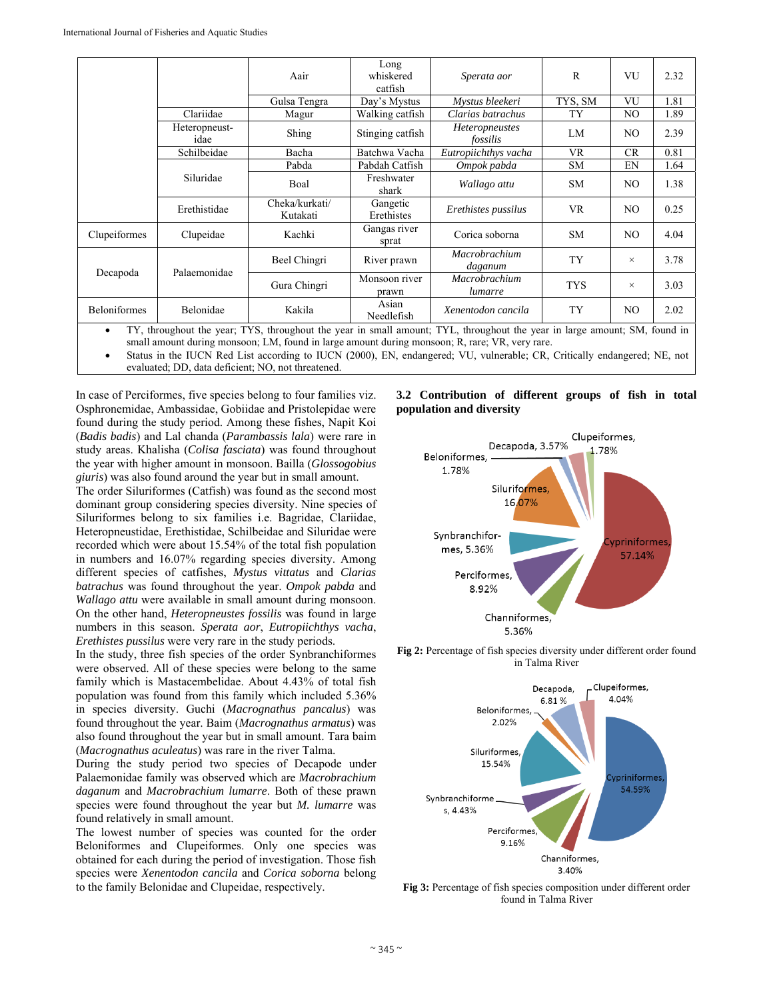|                                                                                                                           |                       | Aair                       | Long<br>whiskered<br>catfish | Sperata aor                       | $\mathbb{R}$ | VU        | 2.32 |
|---------------------------------------------------------------------------------------------------------------------------|-----------------------|----------------------------|------------------------------|-----------------------------------|--------------|-----------|------|
|                                                                                                                           |                       | Gulsa Tengra               | Day's Mystus                 | Mystus bleekeri                   | TYS, SM      | VU        | 1.81 |
|                                                                                                                           | Clariidae             | Magur                      | Walking catfish              | Clarias batrachus                 | TY           | NO.       | 1.89 |
|                                                                                                                           | Heteropneust-<br>idae | Shing                      | Stinging catfish             | <b>Heteropneustes</b><br>fossilis | LM           | NO.       | 2.39 |
|                                                                                                                           | Schilbeidae           | Bacha                      | Batchwa Vacha                | Eutropiichthys vacha              | <b>VR</b>    | <b>CR</b> | 0.81 |
|                                                                                                                           |                       | Pabda                      | Pabdah Catfish               | Ompok pabda                       | <b>SM</b>    | EN        | 1.64 |
|                                                                                                                           | Siluridae             | Boal                       | Freshwater<br>shark          | Wallago attu                      | <b>SM</b>    | NO.       | 1.38 |
|                                                                                                                           | Erethistidae          | Cheka/kurkati/<br>Kutakati | Gangetic<br>Erethistes       | Erethistes pussilus               | <b>VR</b>    | NO.       | 0.25 |
| Clupeiformes                                                                                                              | Clupeidae             | Kachki                     | Gangas river<br>sprat        | Corica soborna                    | <b>SM</b>    | NO.       | 4.04 |
|                                                                                                                           | Palaemonidae          | Beel Chingri               | River prawn                  | Macrobrachium<br>daganum          | TY           | $\times$  | 3.78 |
| Decapoda                                                                                                                  |                       | Gura Chingri               | Monsoon river<br>prawn       | Macrobrachium<br>lumarre          | <b>TYS</b>   | $\times$  | 3.03 |
| Beloniformes                                                                                                              | Belonidae             | Kakila                     | Asian<br>Needlefish          | Xenentodon cancila                | TY           | NO.       | 2.02 |
| TY, throughout the year; TYS, throughout the year in small amount; TYL, throughout the year in large amount; SM, found in |                       |                            |                              |                                   |              |           |      |

small amount during monsoon; LM, found in large amount during monsoon; R, rare; VR, very rare.

 Status in the IUCN Red List according to IUCN (2000), EN, endangered; VU, vulnerable; CR, Critically endangered; NE, not evaluated; DD, data deficient; NO, not threatened.

In case of Perciformes, five species belong to four families viz. Osphronemidae, Ambassidae, Gobiidae and Pristolepidae were found during the study period. Among these fishes, Napit Koi (*Badis badis*) and Lal chanda (*Parambassis lala*) were rare in study areas. Khalisha (*Colisa fasciata*) was found throughout the year with higher amount in monsoon. Bailla (*Glossogobius giuris*) was also found around the year but in small amount.

The order Siluriformes (Catfish) was found as the second most dominant group considering species diversity. Nine species of Siluriformes belong to six families i.e. Bagridae, Clariidae, Heteropneustidae, Erethistidae, Schilbeidae and Siluridae were recorded which were about 15.54% of the total fish population in numbers and 16.07% regarding species diversity. Among different species of catfishes, *Mystus vittatus* and *Clarias batrachus* was found throughout the year. *Ompok pabda* and *Wallago attu* were available in small amount during monsoon. On the other hand, *Heteropneustes fossilis* was found in large numbers in this season. *Sperata aor*, *Eutropiichthys vacha*, *Erethistes pussilus* were very rare in the study periods.

In the study, three fish species of the order Synbranchiformes were observed. All of these species were belong to the same family which is Mastacembelidae. About 4.43% of total fish population was found from this family which included 5.36% in species diversity. Guchi (*Macrognathus pancalus*) was found throughout the year. Baim (*Macrognathus armatus*) was also found throughout the year but in small amount. Tara baim (*Macrognathus aculeatus*) was rare in the river Talma.

During the study period two species of Decapode under Palaemonidae family was observed which are *Macrobrachium daganum* and *Macrobrachium lumarre*. Both of these prawn species were found throughout the year but *M. lumarre* was found relatively in small amount.

The lowest number of species was counted for the order Beloniformes and Clupeiformes. Only one species was obtained for each during the period of investigation. Those fish species were *Xenentodon cancila* and *Corica soborna* belong to the family Belonidae and Clupeidae, respectively.

# **3.2 Contribution of different groups of fish in total population and diversity**



**Fig 2:** Percentage of fish species diversity under different order found in Talma River



**Fig 3:** Percentage of fish species composition under different order found in Talma River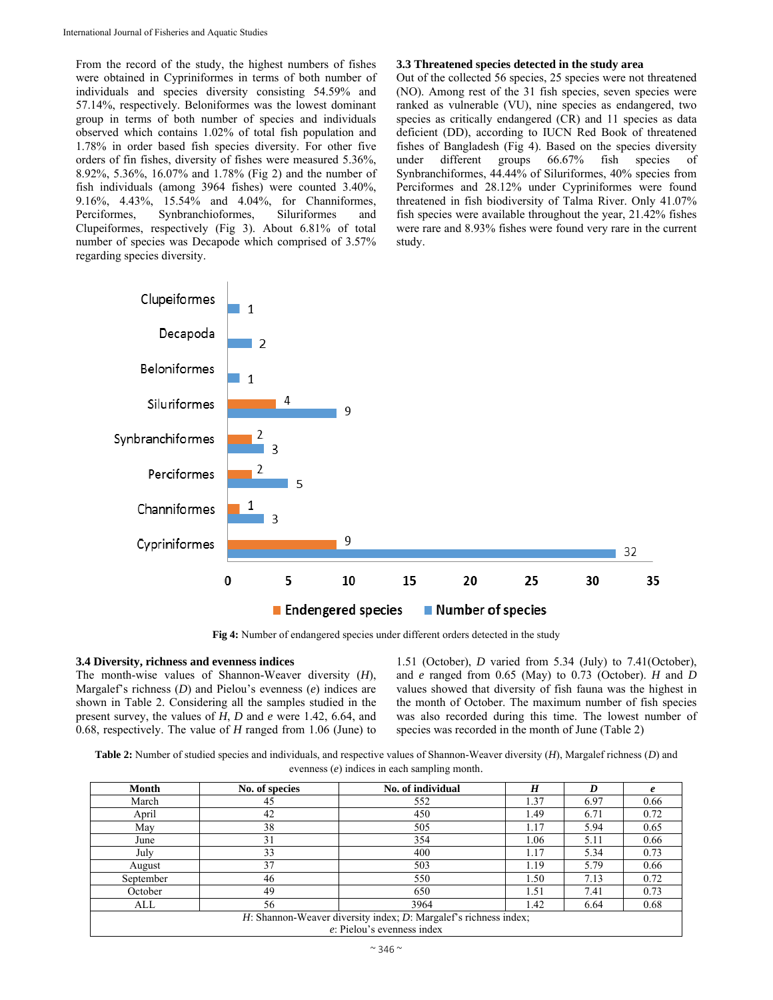From the record of the study, the highest numbers of fishes were obtained in Cypriniformes in terms of both number of individuals and species diversity consisting 54.59% and 57.14%, respectively. Beloniformes was the lowest dominant group in terms of both number of species and individuals observed which contains 1.02% of total fish population and 1.78% in order based fish species diversity. For other five orders of fin fishes, diversity of fishes were measured 5.36%, 8.92%, 5.36%, 16.07% and 1.78% (Fig 2) and the number of fish individuals (among 3964 fishes) were counted 3.40%, 9.16%, 4.43%, 15.54% and 4.04%, for Channiformes, Perciformes, Synbranchioformes, Siluriformes and Clupeiformes, respectively (Fig 3). About 6.81% of total number of species was Decapode which comprised of 3.57% regarding species diversity.

## **3.3 Threatened species detected in the study area**

Out of the collected 56 species, 25 species were not threatened (NO). Among rest of the 31 fish species, seven species were ranked as vulnerable (VU), nine species as endangered, two species as critically endangered (CR) and 11 species as data deficient (DD), according to IUCN Red Book of threatened fishes of Bangladesh (Fig 4). Based on the species diversity under different groups 66.67% fish species of Synbranchiformes, 44.44% of Siluriformes, 40% species from Perciformes and 28.12% under Cypriniformes were found threatened in fish biodiversity of Talma River. Only 41.07% fish species were available throughout the year, 21.42% fishes were rare and 8.93% fishes were found very rare in the current study.



**Fig 4:** Number of endangered species under different orders detected in the study

## **3.4 Diversity, richness and evenness indices**

The month-wise values of Shannon-Weaver diversity (*H*), Margalef's richness (*D*) and Pielou's evenness (*e*) indices are shown in Table 2. Considering all the samples studied in the present survey, the values of *H*, *D* and *e* were 1.42, 6.64, and 0.68, respectively. The value of *H* ranged from 1.06 (June) to 1.51 (October), *D* varied from 5.34 (July) to 7.41(October), and *e* ranged from 0.65 (May) to 0.73 (October). *H* and *D* values showed that diversity of fish fauna was the highest in the month of October. The maximum number of fish species was also recorded during this time. The lowest number of species was recorded in the month of June (Table 2)

**Table 2:** Number of studied species and individuals, and respective values of Shannon-Weaver diversity (*H*), Margalef richness (*D*) and evenness (*e*) indices in each sampling month.

| Month     | No. of species                                                         | No. of individual | H    |      |      |  |  |
|-----------|------------------------------------------------------------------------|-------------------|------|------|------|--|--|
| March     | 45                                                                     | 552               | 1.37 | 6.97 | 0.66 |  |  |
| April     | 42                                                                     | 450               | 1.49 | 6.71 | 0.72 |  |  |
| May       | 38                                                                     | 505               | 1.17 | 5.94 | 0.65 |  |  |
| June      | 31                                                                     | 354               | 1.06 | 5.11 | 0.66 |  |  |
| July      | 33                                                                     | 400               | 1.17 | 5.34 | 0.73 |  |  |
| August    | 37                                                                     | 503               | 1.19 | 5.79 | 0.66 |  |  |
| September | 46                                                                     | 550               | 1.50 | 7.13 | 0.72 |  |  |
| October   | 49                                                                     | 650               | 1.51 | 7.41 | 0.73 |  |  |
| ALL       | 56                                                                     | 3964              | 1.42 | 6.64 | 0.68 |  |  |
|           | $H$ : Shannon-Weaver diversity index; $D$ : Margalef's richness index; |                   |      |      |      |  |  |
|           | $e$ : Pielou's evenness index                                          |                   |      |      |      |  |  |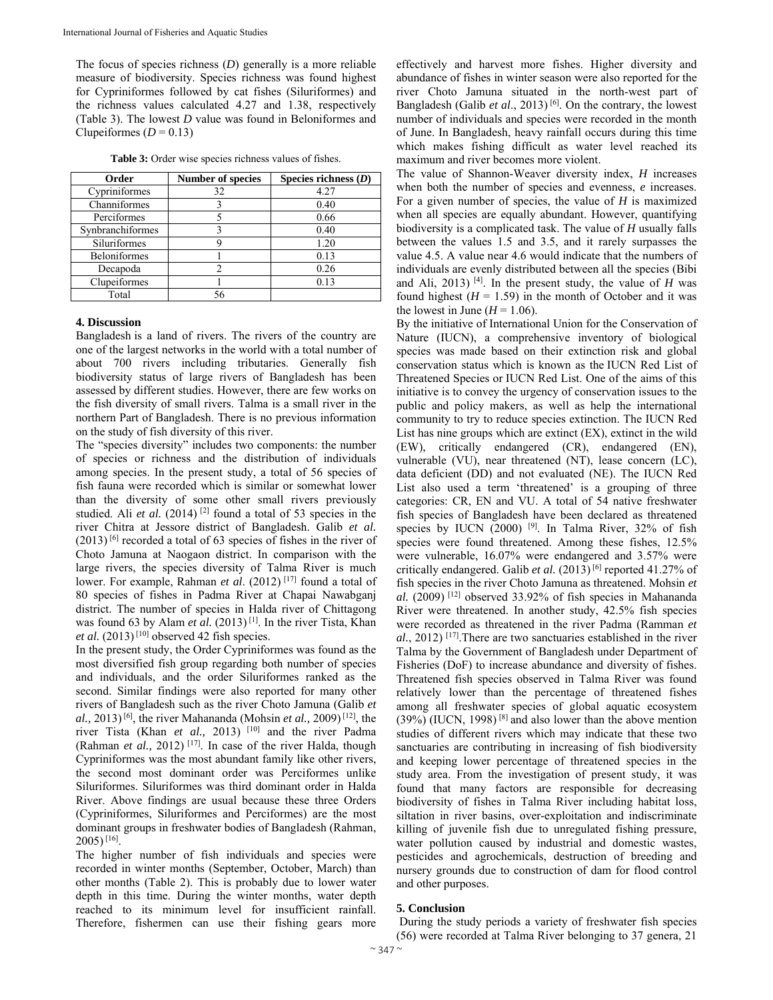The focus of species richness (*D*) generally is a more reliable measure of biodiversity. Species richness was found highest for Cypriniformes followed by cat fishes (Siluriformes) and the richness values calculated 4.27 and 1.38, respectively (Table 3). The lowest *D* value was found in Beloniformes and Clupeiformes  $(D = 0.13)$ 

| <b>Table 3:</b> Order wise species richness values of fishes. |  |  |  |  |
|---------------------------------------------------------------|--|--|--|--|
|---------------------------------------------------------------|--|--|--|--|

| Order               | <b>Number of species</b> | Species richness $(D)$ |
|---------------------|--------------------------|------------------------|
| Cypriniformes       | 32                       | 4.27                   |
| Channiformes        |                          | 0.40                   |
| Perciformes         |                          | 0.66                   |
| Synbranchiformes    |                          | 0.40                   |
| Siluriformes        |                          | 1.20                   |
| <b>Beloniformes</b> |                          | 0.13                   |
| Decapoda            |                          | 0.26                   |
| Clupeiformes        |                          | 0.13                   |
| Total               | 56                       |                        |

#### **4. Discussion**

Bangladesh is a land of rivers. The rivers of the country are one of the largest networks in the world with a total number of about 700 rivers including tributaries. Generally fish biodiversity status of large rivers of Bangladesh has been assessed by different studies. However, there are few works on the fish diversity of small rivers. Talma is a small river in the northern Part of Bangladesh. There is no previous information on the study of fish diversity of this river.

The "species diversity" includes two components: the number of species or richness and the distribution of individuals among species. In the present study, a total of 56 species of fish fauna were recorded which is similar or somewhat lower than the diversity of some other small rivers previously studied. Ali *et al.* (2014)<sup>[2]</sup> found a total of 53 species in the river Chitra at Jessore district of Bangladesh. Galib *et al.*  $(2013)$ <sup>[6]</sup> recorded a total of 63 species of fishes in the river of Choto Jamuna at Naogaon district. In comparison with the large rivers, the species diversity of Talma River is much lower. For example, Rahman et al. (2012)<sup>[17]</sup> found a total of 80 species of fishes in Padma River at Chapai Nawabganj district. The number of species in Halda river of Chittagong was found 63 by Alam *et al.* (2013)<sup>[1]</sup>. In the river Tista, Khan *et al.*  $(2013)^{[10]}$  observed 42 fish species.

In the present study, the Order Cypriniformes was found as the most diversified fish group regarding both number of species and individuals, and the order Siluriformes ranked as the second. Similar findings were also reported for many other rivers of Bangladesh such as the river Choto Jamuna (Galib *et al.,* 2013) [6], the river Mahananda (Mohsin *et al.,* 2009) [12], the river Tista (Khan et al., 2013) [10] and the river Padma (Rahman *et al.,* 2012) [17]. In case of the river Halda, though Cypriniformes was the most abundant family like other rivers, the second most dominant order was Perciformes unlike Siluriformes. Siluriformes was third dominant order in Halda River. Above findings are usual because these three Orders (Cypriniformes, Siluriformes and Perciformes) are the most dominant groups in freshwater bodies of Bangladesh (Rahman,  $2005$ <sup>[16]</sup>.

The higher number of fish individuals and species were recorded in winter months (September, October, March) than other months (Table 2). This is probably due to lower water depth in this time. During the winter months, water depth reached to its minimum level for insufficient rainfall. Therefore, fishermen can use their fishing gears more

effectively and harvest more fishes. Higher diversity and abundance of fishes in winter season were also reported for the river Choto Jamuna situated in the north-west part of Bangladesh (Galib *et al.*, 2013)<sup>[6]</sup>. On the contrary, the lowest number of individuals and species were recorded in the month of June. In Bangladesh, heavy rainfall occurs during this time which makes fishing difficult as water level reached its maximum and river becomes more violent.

The value of Shannon-Weaver diversity index, *H* increases when both the number of species and evenness, *e* increases. For a given number of species, the value of *H* is maximized when all species are equally abundant. However, quantifying biodiversity is a complicated task. The value of *H* usually falls between the values 1.5 and 3.5, and it rarely surpasses the value 4.5. A value near 4.6 would indicate that the numbers of individuals are evenly distributed between all the species (Bibi and Ali, 2013)  $[4]$ . In the present study, the value of *H* was found highest  $(H = 1.59)$  in the month of October and it was the lowest in June  $(H = 1.06)$ .

By the initiative of International Union for the Conservation of Nature (IUCN), a comprehensive inventory of biological species was made based on their extinction risk and global conservation status which is known as the IUCN Red List of Threatened Species or IUCN Red List. One of the aims of this initiative is to convey the urgency of conservation issues to the public and policy makers, as well as help the international community to try to reduce species extinction. The IUCN Red List has nine groups which are extinct (EX), extinct in the wild (EW), critically endangered (CR), endangered (EN), vulnerable (VU), near threatened (NT), lease concern (LC), data deficient (DD) and not evaluated (NE). The IUCN Red List also used a term 'threatened' is a grouping of three categories: CR, EN and VU. A total of 54 native freshwater fish species of Bangladesh have been declared as threatened species by IUCN  $(2000)$  [9]. In Talma River, 32% of fish species were found threatened. Among these fishes, 12.5% were vulnerable, 16.07% were endangered and 3.57% were critically endangered. Galib *et al.*  $(2013)^{6}$  reported 41.27% of fish species in the river Choto Jamuna as threatened. Mohsin *et al.* (2009) [12] observed 33.92% of fish species in Mahananda River were threatened. In another study, 42.5% fish species were recorded as threatened in the river Padma (Ramman *et al.*, 2012) [17].There are two sanctuaries established in the river Talma by the Government of Bangladesh under Department of Fisheries (DoF) to increase abundance and diversity of fishes. Threatened fish species observed in Talma River was found relatively lower than the percentage of threatened fishes among all freshwater species of global aquatic ecosystem  $(39%)$  (IUCN, 1998)<sup>[8]</sup> and also lower than the above mention studies of different rivers which may indicate that these two sanctuaries are contributing in increasing of fish biodiversity and keeping lower percentage of threatened species in the study area. From the investigation of present study, it was found that many factors are responsible for decreasing biodiversity of fishes in Talma River including habitat loss, siltation in river basins, over-exploitation and indiscriminate killing of juvenile fish due to unregulated fishing pressure, water pollution caused by industrial and domestic wastes, pesticides and agrochemicals, destruction of breeding and nursery grounds due to construction of dam for flood control and other purposes.

## **5. Conclusion**

During the study periods a variety of freshwater fish species (56) were recorded at Talma River belonging to 37 genera, 21